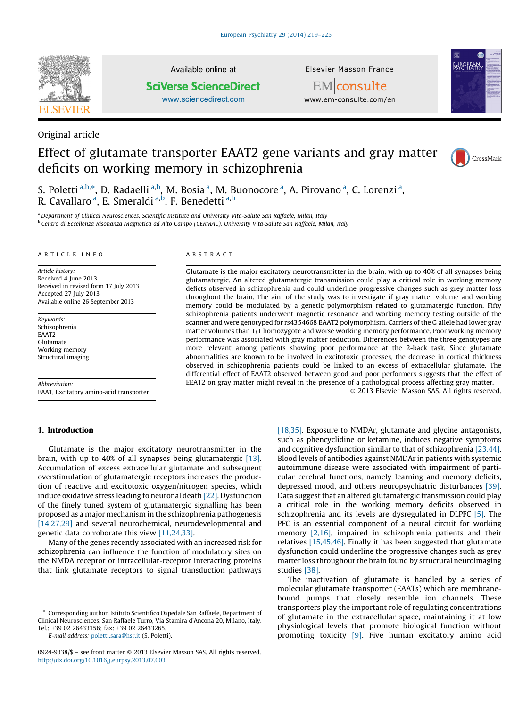

Original article

## Available online at **SciVerse ScienceDirect**

[www.sciencedirect.com](http://www.sciencedirect.com/science/journal/09249338)

**Elsevier Masson France** 



EMconsulte www.em-consulte.com/en

# Effect of glutamate transporter EAAT2 gene variants and gray matter deficits on working memory in schizophrenia



S. Poletti <sup>a,b,</sup>\*, D. Radaelli <sup>a,b</sup>, M. Bosia <sup>a</sup>, M. Buonocore <sup>a</sup>, A. Pirovano <sup>a</sup>, C. Lorenzi <sup>a</sup>, R. Cavallaro <sup>a</sup>, E. Smeraldi <sup>a,b</sup>, F. Benedetti <sup>a,b</sup>

a Department of Clinical Neurosciences, Scientific Institute and University Vita-Salute San Raffaele, Milan, Italy <sup>b</sup> Centro di Eccellenza Risonanza Magnetica ad Alto Campo (CERMAC), University Vita-Salute San Raffaele, Milan, Italy

#### A R T I C L E I N F O

Article history: Received 4 June 2013 Received in revised form 17 July 2013 Accepted 27 July 2013 Available online 26 September 2013

Keywords: Schizophrenia EAAT2 Glutamate Working memory Structural imaging

Abbreviation: EAAT, Excitatory amino-acid transporter

#### 1. Introduction

## A B S T R A C T

Glutamate is the major excitatory neurotransmitter in the brain, with up to 40% of all synapses being glutamatergic. An altered glutamatergic transmission could play a critical role in working memory deficts observed in schizophrenia and could underline progressive changes such as grey matter loss throughout the brain. The aim of the study was to investigate if gray matter volume and working memory could be modulated by a genetic polymorphism related to glutamatergic function. Fifty schizophrenia patients underwent magnetic resonance and working memory testing outside of the scanner and were genotyped for rs4354668 EAAT2 polymorphism. Carriers of the G allele had lower gray matter volumes than T/T homozygote and worse working memory performance. Poor working memory performance was associated with gray matter reduction. Differences between the three genotypes are more relevant among patients showing poor performance at the 2-back task. Since glutamate abnormalities are known to be involved in excitotoxic processes, the decrease in cortical thickness observed in schizophrenia patients could be linked to an excess of extracellular glutamate. The differential effect of EAAT2 observed between good and poor performers suggests that the effect of EEAT2 on gray matter might reveal in the presence of a pathological process affecting gray matter.  $\odot$  2013 Elsevier Masson SAS. All rights reserved.

Glutamate is the major excitatory neurotransmitter in the brain, with up to 40% of all synapses being glutamatergic [\[13\].](#page-5-0) Accumulation of excess extracellular glutamate and subsequent overstimulation of glutamatergic receptors increases the production of reactive and excitotoxic oxygen/nitrogen species, which induce oxidative stress leading to neuronal death [\[22\].](#page-5-0) Dysfunction of the finely tuned system of glutamatergic signalling has been proposed as a major mechanism in the schizophrenia pathogenesis [\[14,27,29\]](#page-5-0) and several neurochemical, neurodevelopmental and genetic data corroborate this view [\[11,24,33\].](#page-5-0)

Many of the genes recently associated with an increased risk for schizophrenia can influence the function of modulatory sites on the NMDA receptor or intracellular-receptor interacting proteins that link glutamate receptors to signal transduction pathways

E-mail address: [poletti.sara@hsr.it](mailto:poletti.sara@hsr.it) (S. Poletti).

[\[18,35\].](#page-5-0) Exposure to NMDAr, glutamate and glycine antagonists, such as phencyclidine or ketamine, induces negative symptoms and cognitive dysfunction similar to that of schizophrenia [\[23,44\].](#page-5-0) Blood levels of antibodies against NMDAr in patients with systemic autoimmune disease were associated with impairment of particular cerebral functions, namely learning and memory deficits, depressed mood, and others neuropsychiatric disturbances [\[39\].](#page-6-0) Data suggest that an altered glutamatergic transmission could play a critical role in the working memory deficits observed in schizophrenia and its levels are dysregulated in DLPFC [\[5\]](#page-5-0). The PFC is an essential component of a neural circuit for working memory [\[2,16\]](#page-5-0), impaired in schizophrenia patients and their relatives [\[15,45,46\].](#page-5-0) Finally it has been suggested that glutamate dysfunction could underline the progressive changes such as grey matter loss throughout the brain found by structural neuroimaging studies [\[38\]](#page-6-0).

The inactivation of glutamate is handled by a series of molecular glutamate transporter (EAATs) which are membranebound pumps that closely resemble ion channels. These transporters play the important role of regulating concentrations of glutamate in the extracellular space, maintaining it at low physiological levels that promote biological function without promoting toxicity [\[9\]](#page-5-0). Five human excitatory amino acid

<sup>\*</sup> Corresponding author. Istituto Scientifico Ospedale San Raffaele, Department of Clinical Neurosciences, San Raffaele Turro, Via Stamira d'Ancona 20, Milano, Italy. Tel.: +39 02 26433156; fax: +39 02 26433265.

<sup>0924-9338/\$ –</sup> see front matter © 2013 Elsevier Masson SAS. All rights reserved. <http://dx.doi.org/10.1016/j.eurpsy.2013.07.003>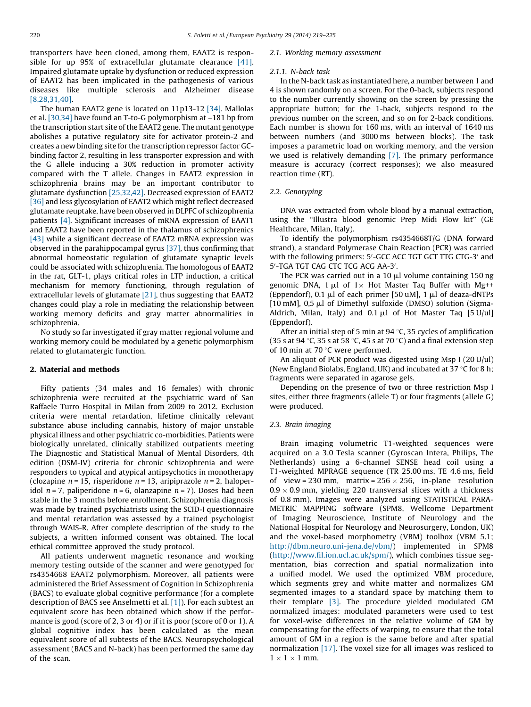transporters have been cloned, among them, EAAT2 is responsible for up 95% of extracellular glutamate clearance [\[41\].](#page-6-0) Impaired glutamate uptake by dysfunction or reduced expression of EAAT2 has been implicated in the pathogenesis of various diseases like multiple sclerosis and Alzheimer disease [\[8,28,31,40\]](#page-5-0).

The human EAAT2 gene is located on 11p13-12 [\[34\].](#page-6-0) Mallolas et al. [\[30,34\]](#page-6-0) have found an T-to-G polymorphism at –181 bp from the transcription start site of the EAAT2 gene. The mutant genotype abolishes a putative regulatory site for activator protein-2 and creates a new binding site for the transcription repressor factor GCbinding factor 2, resulting in less transporter expression and with the G allele inducing a 30% reduction in promoter activity compared with the T allele. Changes in EAAT2 expression in schizophrenia brains may be an important contributor to glutamate dysfunction [\[25,32,42\]](#page-5-0). Decreased expression of EAAT2 [\[36\]](#page-6-0) and less glycosylation of EAAT2 which might reflect decreased glutamate reuptake, have been observed in DLPFC of schizophrenia patients [\[4\].](#page-5-0) Significant increases of mRNA expression of EAAT1 and EAAT2 have been reported in the thalamus of schizophrenics [\[43\]](#page-6-0) while a significant decrease of EAAT2 mRNA expression was observed in the parahippocampal gyrus [\[37\]](#page-6-0), thus confirming that abnormal homeostatic regulation of glutamate synaptic levels could be associated with schizophrenia. The homologous of EAAT2 in the rat, GLT-1, plays critical roles in LTP induction, a critical mechanism for memory functioning, through regulation of extracellular levels of glutamate [\[21\]](#page-5-0), thus suggesting that EAAT2 changes could play a role in mediating the relationship between working memory deficits and gray matter abnormalities in schizophrenia.

No study so far investigated if gray matter regional volume and working memory could be modulated by a genetic polymorphism related to glutamatergic function.

#### 2. Material and methods

Fifty patients (34 males and 16 females) with chronic schizophrenia were recruited at the psychiatric ward of San Raffaele Turro Hospital in Milan from 2009 to 2012. Exclusion criteria were mental retardation, lifetime clinically relevant substance abuse including cannabis, history of major unstable physical illness and other psychiatric co-morbidities. Patients were biologically unrelated, clinically stabilized outpatients meeting The Diagnostic and Statistical Manual of Mental Disorders, 4th edition (DSM-IV) criteria for chronic schizophrenia and were responders to typical and atypical antipsychotics in monotherapy (clozapine  $n = 15$ , risperidone  $n = 13$ , aripiprazole  $n = 2$ , haloperidol  $n = 7$ , paliperidone  $n = 6$ , olanzapine  $n = 7$ ). Doses had been stable in the 3 months before enrollment. Schizophrenia diagnosis was made by trained psychiatrists using the SCID-I questionnaire and mental retardation was assessed by a trained psychologist through WAIS-R. After complete description of the study to the subjects, a written informed consent was obtained. The local ethical committee approved the study protocol.

All patients underwent magnetic resonance and working memory testing outside of the scanner and were genotyped for rs4354668 EAAT2 polymorphism. Moreover, all patients were administered the Brief Assessment of Cognition in Schizophrenia (BACS) to evaluate global cognitive performance (for a complete description of BACS see Anselmetti et al. [\[1\]\)](#page-5-0). For each subtest an equivalent score has been obtained which show if the performance is good (score of 2, 3 or 4) or if it is poor (score of 0 or 1). A global cognitive index has been calculated as the mean equivalent score of all subtests of the BACS. Neuropsychological assessment (BACS and N-back) has been performed the same day of the scan.

#### 2.1. Working memory assessment

#### 2.1.1. N-back task

In the N-back task as instantiated here, a number between 1 and 4 is shown randomly on a screen. For the 0-back, subjects respond to the number currently showing on the screen by pressing the appropriate button; for the 1-back, subjects respond to the previous number on the screen, and so on for 2-back conditions. Each number is shown for 160 ms, with an interval of 1640 ms between numbers (and 3000 ms between blocks). The task imposes a parametric load on working memory, and the version we used is relatively demanding [\[7\]](#page-5-0). The primary performance measure is accuracy (correct responses); we also measured reaction time (RT).

#### 2.2. Genotyping

DNA was extracted from whole blood by a manual extraction, using the ''Illustra blood genomic Prep Midi Flow kit'' (GE Healthcare, Milan, Italy).

To identify the polymorphism rs4354668T/G (DNA forward strand), a standard Polymerase Chain Reaction (PCR) was carried with the following primers: 5'-GCC ACC TGT GCT TTG CTG-3' and 5'-TGA TGT CAG CTC TCG ACG AA-3'.

The PCR was carried out in a 10  $\mu$ l volume containing 150 ng genomic DNA,  $1 \mu l$  of  $1 \times$  Hot Master Taq Buffer with Mg++ (Eppendorf), 0.1  $\mu$ l of each primer [50 uM], 1  $\mu$ l of deaza-dNTPs [10 mM],  $0.5 \mu l$  of Dimethyl sulfoxide (DMSO) solution (Sigma-Aldrich, Milan, Italy) and  $0.1 \mu l$  of Hot Master Taq [5 U/ul] (Eppendorf).

After an initial step of 5 min at 94  $\degree$ C, 35 cycles of amplification (35 s at 94 °C, 35 s at 58 °C, 45 s at 70 °C) and a final extension step of 10 min at 70 $\degree$ C were performed.

An aliquot of PCR product was digested using Msp I (20 U/ul) (New England Biolabs, England, UK) and incubated at 37  $\degree$ C for 8 h; fragments were separated in agarose gels.

Depending on the presence of two or three restriction Msp I sites, either three fragments (allele T) or four fragments (allele G) were produced.

## 2.3. Brain imaging

Brain imaging volumetric T1-weighted sequences were acquired on a 3.0 Tesla scanner (Gyroscan Intera, Philips, The Netherlands) using a 6-channel SENSE head coil using a T1-weighted MPRAGE sequence (TR 25.00 ms, TE 4.6 ms, field of view = 230 mm, matrix = 256  $\times$  256, in-plane resolution  $0.9 \times 0.9$  mm, yielding 220 transversal slices with a thickness of 0.8 mm). Images were analyzed using STATISTICAL PARA-METRIC MAPPING software (SPM8, Wellcome Department of Imaging Neuroscience, Institute of Neurology and the National Hospital for Neurology and Neurosurgery, London, UK) and the voxel-based morphometry (VBM) toolbox (VBM 5.1; [http://dbm.neuro.uni-jena.de/vbm/\)](http://dbm.neuro.uni-jena.de/vbm/) implemented in SPM8 (<http://www.fil.ion.ucl.ac.uk/spm/>), which combines tissue segmentation, bias correction and spatial normalization into a unified model. We used the optimized VBM procedure, which segments grey and white matter and normalizes GM segmented images to a standard space by matching them to their template [\[3\].](#page-5-0) The procedure yielded modulated GM normalized images: modulated parameters were used to test for voxel-wise differences in the relative volume of GM by compensating for the effects of warping, to ensure that the total amount of GM in a region is the same before and after spatial normalization [\[17\]](#page-5-0). The voxel size for all images was resliced to  $1 \times 1 \times 1$  mm.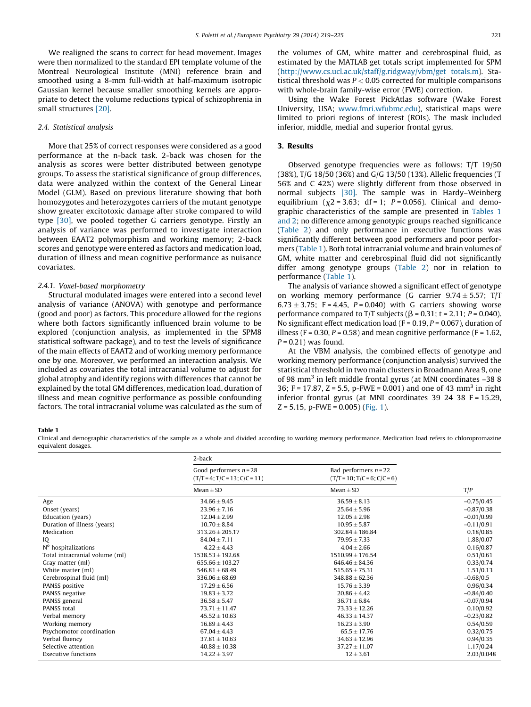We realigned the scans to correct for head movement. Images were then normalized to the standard EPI template volume of the Montreal Neurological Institute (MNI) reference brain and smoothed using a 8-mm full-width at half-maximum isotropic Gaussian kernel because smaller smoothing kernels are appropriate to detect the volume reductions typical of schizophrenia in small structures [\[20\].](#page-5-0)

#### 2.4. Statistical analysis

More that 25% of correct responses were considered as a good performance at the n-back task. 2-back was chosen for the analysis as scores were better distributed between genotype groups. To assess the statistical significance of group differences, data were analyzed within the context of the General Linear Model (GLM). Based on previous literature showing that both homozygotes and heterozygotes carriers of the mutant genotype show greater excitotoxic damage after stroke compared to wild type [\[30\],](#page-6-0) we pooled together G carriers genotype. Firstly an analysis of variance was performed to investigate interaction between EAAT2 polymorphism and working memory; 2-back scores and genotype were entered as factors and medication load, duration of illness and mean cognitive performance as nuisance covariates.

#### 2.4.1. Voxel-based morphometry

Structural modulated images were entered into a second level analysis of variance (ANOVA) with genotype and performance (good and poor) as factors. This procedure allowed for the regions where both factors significantly influenced brain volume to be explored (conjunction analysis, as implemented in the SPM8 statistical software package), and to test the levels of significance of the main effects of EAAT2 and of working memory performance one by one. Moreover, we performed an interaction analysis. We included as covariates the total intracranial volume to adjust for global atrophy and identify regions with differences that cannot be explained by the total GM differences, medication load, duration of illness and mean cognitive performance as possible confounding factors. The total intracranial volume was calculated as the sum of the volumes of GM, white matter and cerebrospinal fluid, as estimated by the MATLAB get totals script implemented for SPM ([http://www.cs.ucl.ac.uk/staff/g.ridgway/vbm/get](http://www.cs.ucl.ac.uk/staff/g.ridgway/vbm/get%20totals.m) totals.m). Statistical threshold was  $P < 0.05$  corrected for multiple comparisons with whole-brain family-wise error (FWE) correction.

Using the Wake Forest PickAtlas software (Wake Forest University, USA; [www.fmri.wfubmc.edu\)](http://www.fmri.wfubmc.edu/), statistical maps were limited to priori regions of interest (ROIs). The mask included inferior, middle, medial and superior frontal gyrus.

#### 3. Results

Observed genotype frequencies were as follows: T/T 19/50 (38%), T/G 18/50 (36%) and G/G 13/50 (13%). Allelic frequencies (T 56% and C 42%) were slightly different from those observed in normal subjects [\[30\].](#page-6-0) The sample was in Hardy–Weinberg equilibrium  $(\chi^2 = 3.63; df = 1; P = 0.056)$ . Clinical and demographic characteristics of the sample are presented in Tables 1 and 2; no difference among genotypic groups reached significance ([Table](#page-3-0) 2) and only performance in executive functions was significantly different between good performers and poor performers (Table 1). Both total intracranial volume and brain volumes of GM, white matter and cerebrospinal fluid did not significantly differ among genotype groups ([Table](#page-3-0) 2) nor in relation to performance (Table 1).

The analysis of variance showed a significant effect of genotype on working memory performance (G carrier  $9.74 \pm 5.57$ ; T/T  $6.73 \pm 3.75$ ; F = 4.45, P = 0.040) with G carriers showing worse performance compared to T/T subjects ( $\beta$  = 0.31; t = 2.11; P = 0.040). No significant effect medication load ( $F = 0.19$ ,  $P = 0.067$ ), duration of illness (F = 0.30, P = 0.58) and mean cognitive performance (F = 1.62,  $P = 0.21$ ) was found.

At the VBM analysis, the combined effects of genotype and working memory performance (conjunction analysis) survived the statistical threshold in two main clusters in Broadmann Area 9, one of 98 mm<sup>3</sup> in left middle frontal gyrus (at MNI coordinates  $-388$ 36; F = 17.87, Z = 5.5, p-FWE = 0.001) and one of 43 mm<sup>3</sup> in right inferior frontal gyrus (at MNI coordinates 39 24 38 F = 15.29,  $Z = 5.15$ , p-FWE = 0.005) [\(Fig.](#page-3-0) 1).

Table 1

Clinical and demographic characteristics of the sample as a whole and divided according to working memory performance. Medication load refers to chloropromazine equivalent dosages.

|                                | 2-back                                                      |                                                           |              |  |
|--------------------------------|-------------------------------------------------------------|-----------------------------------------------------------|--------------|--|
|                                | Good performers $n = 28$<br>$(T/T = 4; T/C = 13; C/C = 11)$ | Bad performers $n = 22$<br>$(T/T = 10; T/C = 6; C/C = 6)$ |              |  |
|                                | $Mean \pm SD$                                               | $Mean \pm SD$                                             | T/P          |  |
| Age                            | $34.66 \pm 9.45$                                            | $36.59 \pm 8.13$                                          | $-0.75/0.45$ |  |
| Onset (years)                  | $23.96 \pm 7.16$                                            | $25.64 \pm 5.96$                                          | $-0.87/0.38$ |  |
| Education (years)              | $12.04 \pm 2.99$                                            | $12.05 \pm 2.98$                                          | $-0.01/0.99$ |  |
| Duration of illness (years)    | $10.70 \pm 8.84$                                            | $10.95 \pm 5.87$                                          | $-0.11/0.91$ |  |
| Medication                     | $313.26 \pm 205.17$                                         | $302.84 \pm 186.84$                                       | 0.18/0.85    |  |
| IQ                             | $84.04 \pm 7.11$                                            | $79.95 \pm 7.33$                                          | 1.88/0.07    |  |
| Nº hospitalizations            | $4.22 \pm 4.43$                                             | $4.04 \pm 2.66$                                           | 0.16/0.87    |  |
| Total intracranial volume (ml) | $1538.53 \pm 192.68$                                        | $1510.99 \pm 176.54$                                      | 0.51/0.61    |  |
| Gray matter (ml)               | $655.66 \pm 103.27$                                         | $646.46 \pm 84.36$                                        | 0.33/0.74    |  |
| White matter (ml)              | $546.81 \pm 68.49$                                          | $515.65 + 75.31$                                          | 1.51/0.13    |  |
| Cerebrospinal fluid (ml)       | $336.06 \pm 68.69$                                          | $348.88 \pm 62.36$                                        | $-0.68/0.5$  |  |
| PANSS positive                 | $17.29 \pm 6.56$                                            | $15.76 \pm 3.39$                                          | 0.96/0.34    |  |
| PANSS negative                 | $19.83 \pm 3.72$                                            | $20.86 \pm 4.42$                                          | $-0.84/0.40$ |  |
| PANSS general                  | $36.58 \pm 5.47$                                            | $36.71 \pm 6.84$                                          | $-0.07/0.94$ |  |
| PANSS total                    | $73.71 \pm 11.47$                                           | $73.33 \pm 12.26$                                         | 0.10/0.92    |  |
| Verbal memory                  | $45.52 \pm 10.63$                                           | $46.33 \pm 14.37$                                         | $-0.23/0.82$ |  |
| Working memory                 | $16.89 \pm 4.43$                                            | $16.23 \pm 3.90$                                          | 0.54/0.59    |  |
| Psychomotor coordination       | $67.04 \pm 4.43$                                            | $65.5 \pm 17.76$                                          | 0.32/0.75    |  |
| Verbal fluency                 | $37.81 \pm 10.63$                                           | $34.63 \pm 12.96$                                         | 0.94/0.35    |  |
| Selective attention            | $40.88 \pm 10.38$                                           | $37.27 \pm 11.07$                                         | 1.17/0.24    |  |
| <b>Executive functions</b>     | $14.22 \pm 3.97$                                            | $12 \pm 3.61$                                             | 2.03/0.048   |  |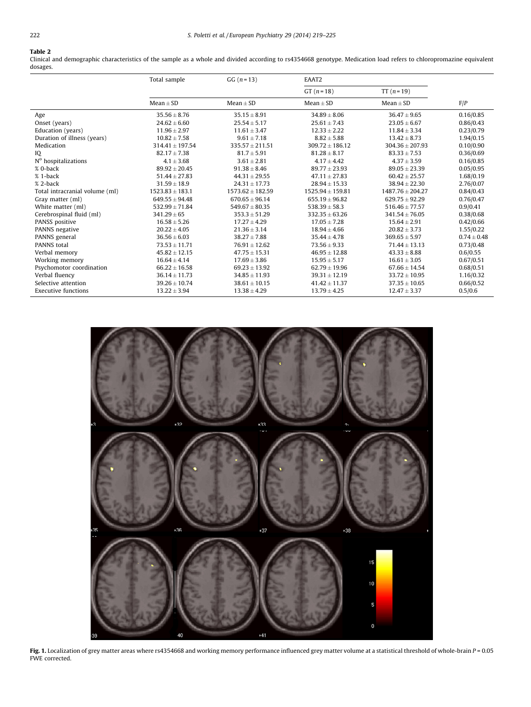## <span id="page-3-0"></span>Table 2

Clinical and demographic characteristics of the sample as a whole and divided according to rs4354668 genotype. Medication load refers to chloropromazine equivalent dosages.

|                                 | Total sample        | $GG (n = 13)$        | EAAT2                |                      |                 |
|---------------------------------|---------------------|----------------------|----------------------|----------------------|-----------------|
|                                 |                     |                      | $GT(n = 18)$         | $TT(n=19)$           |                 |
|                                 | $Mean + SD$         | $Mean \pm SD$        | $Mean \pm SD$        | $Mean + SD$          | F/P             |
| Age                             | $35.56 \pm 8.76$    | $35.15 \pm 8.91$     | $34.89 \pm 8.06$     | $36.47 \pm 9.65$     | 0.16/0.85       |
| Onset (years)                   | $24.62 \pm 6.60$    | $25.54 \pm 5.17$     | $25.61 \pm 7.43$     | $23.05 \pm 6.67$     | 0.86/0.43       |
| Education (years)               | $11.96 \pm 2.97$    | $11.61 \pm 3.47$     | $12.33 \pm 2.22$     | $11.84 \pm 3.34$     | 0.23/0.79       |
| Duration of illness (years)     | $10.82 \pm 7.58$    | $9.61 \pm 7.18$      | $8.82 \pm 5.88$      | $13.42 \pm 8.73$     | 1.94/0.15       |
| Medication                      | $314.41 \pm 197.54$ | $335.57 \pm 211.51$  | $309.72 \pm 186.12$  | $304.36 \pm 207.93$  | 0.10/0.90       |
| IQ                              | $82.17 \pm 7.38$    | $81.7 \pm 5.91$      | $81.28 \pm 8.17$     | $83.33 \pm 7.53$     | 0.36/0.69       |
| N <sup>o</sup> hospitalizations | $4.1 \pm 3.68$      | $3.61 \pm 2.81$      | $4.17 \pm 4.42$      | $4.37 \pm 3.59$      | 0.16/0.85       |
| % 0-back                        | $89.92 \pm 20.45$   | $91.38 \pm 8.46$     | $89.77 \pm 23.93$    | $89.05 \pm 23.39$    | 0.05/0.95       |
| % 1-back                        | $51.44 \pm 27.83$   | $44.31 \pm 29.55$    | $47.11 \pm 27.83$    | $60.42 \pm 25.57$    | 1.68/0.19       |
| % 2-back                        | $31.59 \pm 18.9$    | $24.31 \pm 17.73$    | $28.94 \pm 15.33$    | $38.94 \pm 22.30$    | 2.76/0.07       |
| Total intracranial volume (ml)  | $1523.83 \pm 183.1$ | $1573.62 \pm 182.59$ | $1525.94 \pm 159.81$ | $1487.76 \pm 204.27$ | 0.84/0.43       |
| Gray matter (ml)                | $649.55 \pm 94.48$  | $670.65 \pm 96.14$   | $655.19 \pm 96.82$   | $629.75 \pm 92.29$   | 0.76/0.47       |
| White matter (ml)               | $532.99 \pm 71.84$  | $549.67 \pm 80.35$   | $538.39 \pm 58.3$    | $516.46 \pm 77.57$   | 0.9/0.41        |
| Cerebrospinal fluid (ml)        | $341.29 \pm 65$     | $353.3 \pm 51.29$    | $332.35 \pm 63.26$   | $341.54 \pm 76.05$   | 0.38/0.68       |
| PANSS positive                  | $16.58 \pm 5.26$    | $17.27 \pm 4.29$     | $17.05 \pm 7.28$     | $15.64 \pm 2.91$     | 0.42/0.66       |
| PANNS negative                  | $20.22 \pm 4.05$    | $21.36 \pm 3.14$     | $18.94 \pm 4.66$     | $20.82 \pm 3.73$     | 1.55/0.22       |
| PANNS general                   | $36.56 \pm 6.03$    | $38.27 \pm 7.88$     | $35.44 \pm 4.78$     | $369.65 \pm 5.97$    | $0.74 \pm 0.48$ |
| PANNS total                     | $73.53 \pm 11.71$   | $76.91 \pm 12.62$    | $73.56 \pm 9.33$     | $71.44 \pm 13.13$    | 0.73/0.48       |
| Verbal memory                   | $45.82 \pm 12.15$   | $47.75 \pm 15.31$    | $46.95 \pm 12.88$    | $43.33 \pm 8.88$     | 0.6/0.55        |
| Working memory                  | $16.64 \pm 4.14$    | $17.69 \pm 3.86$     | $15.95 \pm 5.17$     | $16.61 \pm 3.05$     | 0.67/0.51       |
| Psychomotor coordination        | $66.22 \pm 16.58$   | $69.23 \pm 13.92$    | $62.79 \pm 19.96$    | $67.66 \pm 14.54$    | 0.68/0.51       |
| Verbal fluency                  | $36.14 \pm 11.73$   | $34.85 \pm 11.93$    | $39.31 \pm 12.19$    | $33.72 \pm 10.95$    | 1.16/0.32       |
| Selective attention             | $39.26 \pm 10.74$   | $38.61 \pm 10.15$    | $41.42 \pm 11.37$    | $37.35 \pm 10.65$    | 0.66/0.52       |
| <b>Executive functions</b>      | $13.22 \pm 3.94$    | $13.38 \pm 4.29$     | $13.79 \pm 4.25$     | $12.47 \pm 3.37$     | 0.5/0.6         |



**Fig. 1.** Localization of grey matter areas where rs4354668 and working memory performance influenced grey matter volume at a statistical threshold of whole-brain P = 0.05 FWE corrected.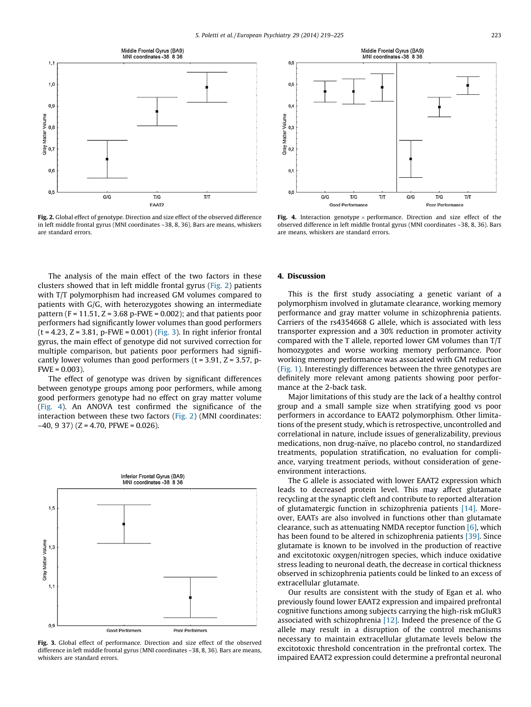

Fig. 2. Global effect of genotype. Direction and size effect of the observed difference in left middle frontal gyrus (MNI coordinates –38, 8, 36). Bars are means, whiskers are standard errors.

The analysis of the main effect of the two factors in these clusters showed that in left middle frontal gyrus (Fig. 2) patients with T/T polymorphism had increased GM volumes compared to patients with G/G, with heterozygotes showing an intermediate pattern (F =  $11.51$ , Z =  $3.68$  p-FWE =  $0.002$ ); and that patients poor performers had significantly lower volumes than good performers  $(t = 4.23, Z = 3.81, p$ -FWE = 0.001) (Fig. 3). In right inferior frontal gyrus, the main effect of genotype did not survived correction for multiple comparison, but patients poor performers had significantly lower volumes than good performers ( $t = 3.91$ ,  $Z = 3.57$ , p- $FWE = 0.003$ ).

The effect of genotype was driven by significant differences between genotype groups among poor performers, while among good performers genotype had no effect on gray matter volume (Fig. 4). An ANOVA test confirmed the significance of the interaction between these two factors (Fig. 2) (MNI coordinates:  $-40$ , 9 37) (Z = 4.70, PFWE = 0.026).



Fig. 3. Global effect of performance. Direction and size effect of the observed difference in left middle frontal gyrus (MNI coordinates –38, 8, 36). Bars are means, whiskers are standard errors.



**Fig. 4.** Interaction genotype  $\times$  performance. Direction and size effect of the observed difference in left middle frontal gyrus (MNI coordinates –38, 8, 36). Bars are means, whiskers are standard errors.

#### 4. Discussion

This is the first study associating a genetic variant of a polymorphism involved in glutamate clearance, working memory performance and gray matter volume in schizophrenia patients. Carriers of the rs4354668 G allele, which is associated with less transporter expression and a 30% reduction in promoter activity compared with the T allele, reported lower GM volumes than T/T homozygotes and worse working memory performance. Poor working memory performance was associated with GM reduction ([Fig.](#page-3-0) 1). Interestingly differences between the three genotypes are definitely more relevant among patients showing poor performance at the 2-back task.

Major limitations of this study are the lack of a healthy control group and a small sample size when stratifying good vs poor performers in accordance to EAAT2 polymorphism. Other limitations of the present study, which is retrospective, uncontrolled and correlational in nature, include issues of generalizability, previous medications, non drug-naïve, no placebo control, no standardized treatments, population stratification, no evaluation for compliance, varying treatment periods, without consideration of geneenvironment interactions.

The G allele is associated with lower EAAT2 expression which leads to decreased protein level. This may affect glutamate recycling at the synaptic cleft and contribute to reported alteration of glutamatergic function in schizophrenia patients [\[14\]](#page-5-0). Moreover, EAATs are also involved in functions other than glutamate clearance, such as attenuating NMDA receptor function  $[6]$ , which has been found to be altered in schizophrenia patients [\[39\]](#page-6-0). Since glutamate is known to be involved in the production of reactive and excitotoxic oxygen/nitrogen species, which induce oxidative stress leading to neuronal death, the decrease in cortical thickness observed in schizophrenia patients could be linked to an excess of extracellular glutamate.

Our results are consistent with the study of Egan et al. who previously found lower EAAT2 expression and impaired prefrontal cognitive functions among subjects carrying the high-risk mGluR3 associated with schizophrenia [\[12\]](#page-5-0). Indeed the presence of the G allele may result in a disruption of the control mechanisms necessary to maintain extracellular glutamate levels below the excitotoxic threshold concentration in the prefrontal cortex. The impaired EAAT2 expression could determine a prefrontal neuronal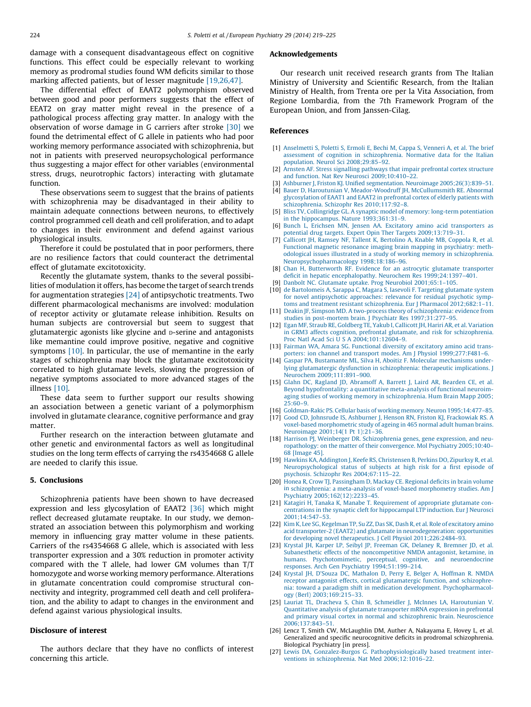<span id="page-5-0"></span>damage with a consequent disadvantageous effect on cognitive functions. This effect could be especially relevant to working memory as prodromal studies found WM deficits similar to those marking affected patients, but of lesser magnitude [19,26,47].

The differential effect of EAAT2 polymorphism observed between good and poor performers suggests that the effect of EEAT2 on gray matter might reveal in the presence of a pathological process affecting gray matter. In analogy with the observation of worse damage in G carriers after stroke [\[30\]](#page-6-0) we found the detrimental effect of G allele in patients who had poor working memory performance associated with schizophrenia, but not in patients with preserved neuropsychological performance thus suggesting a major effect for other variables (environmental stress, drugs, neurotrophic factors) interacting with glutamate function.

These observations seem to suggest that the brains of patients with schizophrenia may be disadvantaged in their ability to maintain adequate connections between neurons, to effectively control programmed cell death and cell proliferation, and to adapt to changes in their environment and defend against various physiological insults.

Therefore it could be postulated that in poor performers, there are no resilience factors that could counteract the detrimental effect of glutamate excitotoxicity.

Recently the glutamate system, thanks to the several possibilities of modulation it offers, has become the target of search trends for augmentation strategies [24] of antipsychotic treatments. Two different pharmacological mechanisms are involved: modulation of receptor activity or glutamate release inhibition. Results on human subjects are controversial but seem to suggest that glutamatergic agonists like glycine and D-serine and antagonists like memantine could improve positive, negative and cognitive symptoms [10]. In particular, the use of memantine in the early stages of schizophrenia may block the glutamate excitotoxicity correlated to high glutamate levels, slowing the progression of negative symptoms associated to more advanced stages of the illness [10].

These data seem to further support our results showing an association between a genetic variant of a polymorphism involved in glutamate clearance, cognitive performance and gray matter.

Further research on the interaction between glutamate and other genetic and environmental factors as well as longitudinal studies on the long term effects of carrying the rs4354668 G allele are needed to clarify this issue.

#### 5. Conclusions

Schizophrenia patients have been shown to have decreased expression and less glycosylation of EAAT2 [\[36\]](#page-6-0) which might reflect decreased glutamate reuptake. In our study, we demonstrated an association between this polymorphism and working memory in influencing gray matter volume in these patients. Carriers of the rs4354668 G allele, which is associated with less transporter expression and a 30% reduction in promoter activity compared with the T allele, had lower GM volumes than T/T homozygote and worse working memory performance. Alterations in glutamate concentration could compromise structural connectivity and integrity, programmed cell death and cell proliferation, and the ability to adapt to changes in the environment and defend against various physiological insults.

### Disclosure of interest

The authors declare that they have no conflicts of interest concerning this article.

#### Acknowledgements

Our research unit received research grants from The Italian Ministry of University and Scientific Research, from the Italian Ministry of Health, from Trenta ore per la Vita Association, from Regione Lombardia, from the 7th Framework Program of the European Union, and from Janssen-Cilag.

#### References

- [1] [Anselmetti](http://refhub.elsevier.com/S0924-9338(13)00099-0/sbref0005) S, Poletti S, Ermoli E, Bechi M, Cappa S, Venneri A, et al. The brief assessment of cognition in [schizophrenia.](http://refhub.elsevier.com/S0924-9338(13)00099-0/sbref0005) Normative data for the Italian population. Neurol Sci [2008;29:85–92.](http://refhub.elsevier.com/S0924-9338(13)00099-0/sbref0005)
- [2] Arnsten AF. Stress signalling pathways that impair [prefrontal](http://refhub.elsevier.com/S0924-9338(13)00099-0/sbref0010) cortex structure and function. Nat Rev Neurosci [2009;10:410–22](http://refhub.elsevier.com/S0924-9338(13)00099-0/sbref0010).
- Ashburner J, Friston KJ. Unified segmentation. Neuroimage 2005;26(3):839-51.
- [4] Bauer D, Haroutunian V, [Meador-Woodruff](http://refhub.elsevier.com/S0924-9338(13)00099-0/sbref0015) JH, McCullumsmith RE. Abnormal [glycosylation](http://refhub.elsevier.com/S0924-9338(13)00099-0/sbref0015) of EAAT1 and EAAT2 in prefrontal cortex of elderly patients with schizophrenia. Schizophr Res [2010;117:92–8.](http://refhub.elsevier.com/S0924-9338(13)00099-0/sbref0015)
- [5] Bliss TV, Collingridge GL. A synaptic model of memory: long-term [potentiation](http://refhub.elsevier.com/S0924-9338(13)00099-0/sbref0020) in the hippocampus. Nature [1993;361:31–9.](http://refhub.elsevier.com/S0924-9338(13)00099-0/sbref0020)
- [6] Bunch L, Erichsen MN, Jensen AA. Excitatory amino acid [transporters](http://refhub.elsevier.com/S0924-9338(13)00099-0/sbref0025) as potential drug targets. Expert Opin Ther Targets [2009;13:719–31.](http://refhub.elsevier.com/S0924-9338(13)00099-0/sbref0025)
- [7] Callicott JH, Ramsey NF, Tallent K, [Bertolino](http://refhub.elsevier.com/S0924-9338(13)00099-0/sbref0030) A, Knable MB, Coppola R, et al. Functional magnetic resonance imaging brain mapping in [psychiatry:](http://refhub.elsevier.com/S0924-9338(13)00099-0/sbref0030) methodological issues illustrated in a study of working memory in [schizophrenia.](http://refhub.elsevier.com/S0924-9338(13)00099-0/sbref0030) [Neuropsychopharmacology](http://refhub.elsevier.com/S0924-9338(13)00099-0/sbref0030) 1998;18:186–96.
- [8] Chan H, [Butterworth](http://refhub.elsevier.com/S0924-9338(13)00099-0/sbref0035) RF. Evidence for an astrocytic glutamate transporter deficit in hepatic encephalopathy. Neurochem Res [1999;24:1397–401](http://refhub.elsevier.com/S0924-9338(13)00099-0/sbref0035).
- [9] Danbolt NC. Glutamate uptake. Prog Neurobiol [2001;65:1–105.](http://refhub.elsevier.com/S0924-9338(13)00099-0/sbref0040)
- [10] de [Bartolomeis](http://refhub.elsevier.com/S0924-9338(13)00099-0/sbref0045) A, Sarappa C, Magara S, Iasevoli F. Targeting glutamate system for novel [antipsychotic](http://refhub.elsevier.com/S0924-9338(13)00099-0/sbref0045) approaches: relevance for residual psychotic symptoms and treatment resistant schizophrenia. Eur J Pharmacol 2012;682:1-11.
- [11] Deakin JF, Simpson MD. A two-process theory of [schizophrenia:](http://refhub.elsevier.com/S0924-9338(13)00099-0/sbref0050) evidence from studies in post-mortem brain. J Psychiatr Res [1997;31:277–95.](http://refhub.elsevier.com/S0924-9338(13)00099-0/sbref0050)
- [12] Egan MF, Straub RE, Goldberg TE, Yakub I, Callicott JH, Hariri AR, et al. [Variation](http://refhub.elsevier.com/S0924-9338(13)00099-0/sbref0055) in GRM3 affects cognition, prefrontal glutamate, and risk for [schizophrenia.](http://refhub.elsevier.com/S0924-9338(13)00099-0/sbref0055) Proc Natl Acad Sci U S A [2004;101:12604–9.](http://refhub.elsevier.com/S0924-9338(13)00099-0/sbref0055)
- [13] Fairman WA, Amara SG. [Functional](http://refhub.elsevier.com/S0924-9338(13)00099-0/sbref0060) diversity of excitatory amino acid transporters: ion channel and transport modes. Am J Physiol [1999;277:F481–6](http://refhub.elsevier.com/S0924-9338(13)00099-0/sbref0060).
- [14] Gaspar PA, Bustamante ML, Silva H, Aboitiz F. Molecular [mechanisms](http://refhub.elsevier.com/S0924-9338(13)00099-0/sbref0065) underlying glutamatergic dysfunction in [schizophrenia:](http://refhub.elsevier.com/S0924-9338(13)00099-0/sbref0065) therapeutic implications. J Neurochem [2009;111:891–900.](http://refhub.elsevier.com/S0924-9338(13)00099-0/sbref0065)
- [15] Glahn DC, Ragland JD, [Abramoff](http://refhub.elsevier.com/S0924-9338(13)00099-0/sbref0070) A, Barrett J, Laird AR, Bearden CE, et al. Beyond [hypofrontality:](http://refhub.elsevier.com/S0924-9338(13)00099-0/sbref0070) a quantitative meta-analysis of functional neuroimaging studies of working memory in [schizophrenia.](http://refhub.elsevier.com/S0924-9338(13)00099-0/sbref0070) Hum Brain Mapp 2005;  $25:60-9.$
- [16] Goldman-Rakic PS. Cellular basis of working memory. Neuron [1995;14:477–85](http://refhub.elsevier.com/S0924-9338(13)00099-0/sbref0075).
- [17] Good CD, Johnsrude IS, Ashburner J, Henson RN, Friston KJ, [Frackowiak](http://refhub.elsevier.com/S0924-9338(13)00099-0/sbref0215) RS. A voxel-based [morphometric](http://refhub.elsevier.com/S0924-9338(13)00099-0/sbref0215) study of ageing in 465 normal adult human brains. [Neuroimage](http://refhub.elsevier.com/S0924-9338(13)00099-0/sbref0215) 2001;14(1 Pt 1):21–36.
- [18] Harrison PJ, Weinberger DR. [Schizophrenia](http://refhub.elsevier.com/S0924-9338(13)00099-0/sbref0080) genes, gene expression, and neuropathology: on the matter of their [convergence.](http://refhub.elsevier.com/S0924-9338(13)00099-0/sbref0080) Mol Psychiatry 2005;10:40– 68 [\[Image](http://refhub.elsevier.com/S0924-9338(13)00099-0/sbref0080) 45].
- [19] Hawkins KA, Addington J, Keefe RS, [Christensen](http://refhub.elsevier.com/S0924-9338(13)00099-0/sbref0220) B, Perkins DO, Zipurksy R, et al. [Neuropsychological](http://refhub.elsevier.com/S0924-9338(13)00099-0/sbref0220) status of subjects at high risk for a first episode of psychosis. Schizophr Res [2004;67:115–22.](http://refhub.elsevier.com/S0924-9338(13)00099-0/sbref0220)
- [20] Honea R, Crow TJ, [Passingham](http://refhub.elsevier.com/S0924-9338(13)00099-0/sbref0225) D, Mackay CE. Regional deficits in brain volume in [schizophrenia:](http://refhub.elsevier.com/S0924-9338(13)00099-0/sbref0225) a meta-analysis of voxel-based morphometry studies. Am J Psychiatry [2005;162\(12\):2233–45.](http://refhub.elsevier.com/S0924-9338(13)00099-0/sbref0225)
- [21] Katagiri H, Tanaka K, Manabe T. [Requirement](http://refhub.elsevier.com/S0924-9338(13)00099-0/sbref0085) of appropriate glutamate concentrations in the synaptic cleft for [hippocampal](http://refhub.elsevier.com/S0924-9338(13)00099-0/sbref0085) LTP induction. Eur J Neurosci [2001;14:547–53.](http://refhub.elsevier.com/S0924-9338(13)00099-0/sbref0085)
- [22] Kim K, Lee SG, Kegelman TP, Su ZZ, Das SK, Dash R, et al. Role of [excitatory](http://refhub.elsevier.com/S0924-9338(13)00099-0/sbref0090) amino acid transporter-2 (EAAT2) and glutamate in [neurodegeneration:](http://refhub.elsevier.com/S0924-9338(13)00099-0/sbref0090) opportunities for developing novel therapeutics. J Cell Physiol [2011;226:2484–93.](http://refhub.elsevier.com/S0924-9338(13)00099-0/sbref0090)
- [23] Krystal JH, Karper LP, Seibyl JP, [Freeman](http://refhub.elsevier.com/S0924-9338(13)00099-0/sbref0095) GK, Delaney R, Bremner JD, et al. Subanesthetic effects of the [noncompetitive](http://refhub.elsevier.com/S0924-9338(13)00099-0/sbref0095) NMDA antagonist, ketamine, in humans. [Psychotomimetic,](http://refhub.elsevier.com/S0924-9338(13)00099-0/sbref0095) perceptual, cognitive, and neuroendocrine responses. Arch Gen Psychiatry [1994;51:199–214](http://refhub.elsevier.com/S0924-9338(13)00099-0/sbref0095).
- [24] Krystal JH, D'Souza DC, [Mathalon](http://refhub.elsevier.com/S0924-9338(13)00099-0/sbref0100) D, Perry E, Belger A, Hoffman R. NMDA receptor antagonist effects, cortical [glutamatergic](http://refhub.elsevier.com/S0924-9338(13)00099-0/sbref0100) function, and schizophrenia: toward a paradigm shift in medication development. [Psychopharmacol](http://refhub.elsevier.com/S0924-9338(13)00099-0/sbref0100)ogy (Berl) [2003;169:215–33.](http://refhub.elsevier.com/S0924-9338(13)00099-0/sbref0100)
- [25] Lauriat TL, Dracheva S, Chin B, Schmeidler J, McInnes LA, [Haroutunian](http://refhub.elsevier.com/S0924-9338(13)00099-0/sbref0105) V. [Quantitative](http://refhub.elsevier.com/S0924-9338(13)00099-0/sbref0105) analysis of glutamate transporter mRNA expression in prefrontal and primary visual cortex in normal and [schizophrenic](http://refhub.elsevier.com/S0924-9338(13)00099-0/sbref0105) brain. Neuroscience [2006;137:843–51](http://refhub.elsevier.com/S0924-9338(13)00099-0/sbref0105).
- [26] Lencz T, Smith CW, McLaughlin DM, Auther A, Nakayama E, Hovey L, et al. Generalized and specific neurocognitive deficits in prodromal schizophrenia. Biological Psychiatry [in press].
- [27] Lewis DA, Gonzalez-Burgos G. [Pathophysiologically](http://refhub.elsevier.com/S0924-9338(13)00099-0/sbref0110) based treatment interventions in schizophrenia. Nat Med [2006;12:1016–22](http://refhub.elsevier.com/S0924-9338(13)00099-0/sbref0110).